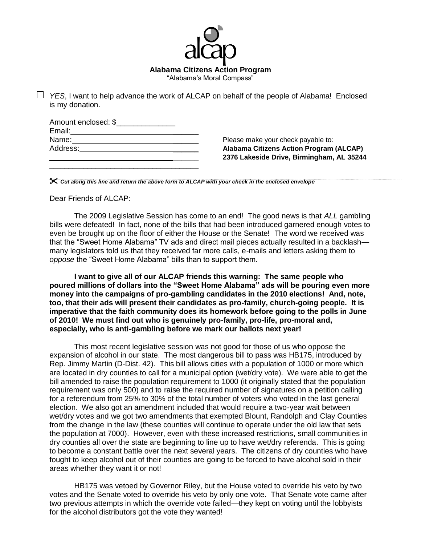

*YES*, I want to help advance the work of ALCAP on behalf of the people of Alabama! Enclosed is my donation.

| Amount enclosed: \$ |  |
|---------------------|--|
| Email:              |  |
| Name:               |  |
| Address:            |  |
|                     |  |

\_\_\_\_\_\_\_\_\_\_\_\_\_\_\_\_\_\_\_\_\_\_\_\_\_\_\_\_\_\_\_\_\_\_\_\_\_\_\_

Please make your check payable to: **Alabama Citizens Action Program (ALCAP)** \_\_\_\_\_\_ **2376 Lakeside Drive, Birmingham, AL 35244**

*Cut along this line and return the above form to ALCAP with your check in the enclosed envelope*

Dear Friends of ALCAP:

The 2009 Legislative Session has come to an end! The good news is that *ALL* gambling bills were defeated! In fact, none of the bills that had been introduced garnered enough votes to even be brought up on the floor of either the House or the Senate! The word we received was that the "Sweet Home Alabama" TV ads and direct mail pieces actually resulted in a backlash many legislators told us that they received far more calls, e-mails and letters asking them to *oppose* the "Sweet Home Alabama" bills than to support them.

**I want to give all of our ALCAP friends this warning: The same people who poured millions of dollars into the "Sweet Home Alabama" ads will be pouring even more money into the campaigns of pro-gambling candidates in the 2010 elections! And, note, too, that their ads will present their candidates as pro-family, church-going people. It is imperative that the faith community does its homework before going to the polls in June of 2010! We must find out who is genuinely pro-family, pro-life, pro-moral and, especially, who is anti-gambling before we mark our ballots next year!**

This most recent legislative session was not good for those of us who oppose the expansion of alcohol in our state. The most dangerous bill to pass was HB175, introduced by Rep. Jimmy Martin (D-Dist. 42). This bill allows cities with a population of 1000 or more which are located in dry counties to call for a municipal option (wet/dry vote). We were able to get the bill amended to raise the population requirement to 1000 (it originally stated that the population requirement was only 500) and to raise the required number of signatures on a petition calling for a referendum from 25% to 30% of the total number of voters who voted in the last general election. We also got an amendment included that would require a two-year wait between wet/dry votes and we got two amendments that exempted Blount, Randolph and Clay Counties from the change in the law (these counties will continue to operate under the old law that sets the population at 7000). However, even with these increased restrictions, small communities in dry counties all over the state are beginning to line up to have wet/dry referenda. This is going to become a constant battle over the next several years. The citizens of dry counties who have fought to keep alcohol out of their counties are going to be forced to have alcohol sold in their areas whether they want it or not!

HB175 was vetoed by Governor Riley, but the House voted to override his veto by two votes and the Senate voted to override his veto by only one vote. That Senate vote came after two previous attempts in which the override vote failed—they kept on voting until the lobbyists for the alcohol distributors got the vote they wanted!